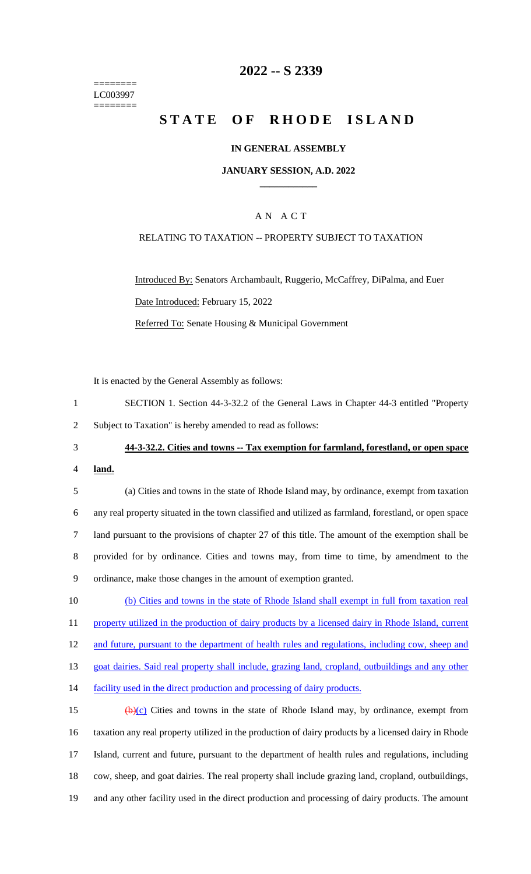======== LC003997 ========

## **2022 -- S 2339**

# **STATE OF RHODE ISLAND**

#### **IN GENERAL ASSEMBLY**

#### **JANUARY SESSION, A.D. 2022 \_\_\_\_\_\_\_\_\_\_\_\_**

### A N A C T

#### RELATING TO TAXATION -- PROPERTY SUBJECT TO TAXATION

Introduced By: Senators Archambault, Ruggerio, McCaffrey, DiPalma, and Euer Date Introduced: February 15, 2022 Referred To: Senate Housing & Municipal Government

It is enacted by the General Assembly as follows:

| SECTION 1. Section 44-3-32.2 of the General Laws in Chapter 44-3 entitled "Property" |  |
|--------------------------------------------------------------------------------------|--|
| Subject to Taxation" is hereby amended to read as follows:                           |  |

3 **44-3-32.2. Cities and towns -- Tax exemption for farmland, forestland, or open space** 

4 **land.**

 (a) Cities and towns in the state of Rhode Island may, by ordinance, exempt from taxation any real property situated in the town classified and utilized as farmland, forestland, or open space land pursuant to the provisions of chapter 27 of this title. The amount of the exemption shall be provided for by ordinance. Cities and towns may, from time to time, by amendment to the ordinance, make those changes in the amount of exemption granted.

10 (b) Cities and towns in the state of Rhode Island shall exempt in full from taxation real 11 property utilized in the production of dairy products by a licensed dairy in Rhode Island, current 12 and future, pursuant to the department of health rules and regulations, including cow, sheep and 13 goat dairies. Said real property shall include, grazing land, cropland, outbuildings and any other

14 facility used in the direct production and processing of dairy products.

 $(b)(c)$  Cities and towns in the state of Rhode Island may, by ordinance, exempt from taxation any real property utilized in the production of dairy products by a licensed dairy in Rhode Island, current and future, pursuant to the department of health rules and regulations, including cow, sheep, and goat dairies. The real property shall include grazing land, cropland, outbuildings, and any other facility used in the direct production and processing of dairy products. The amount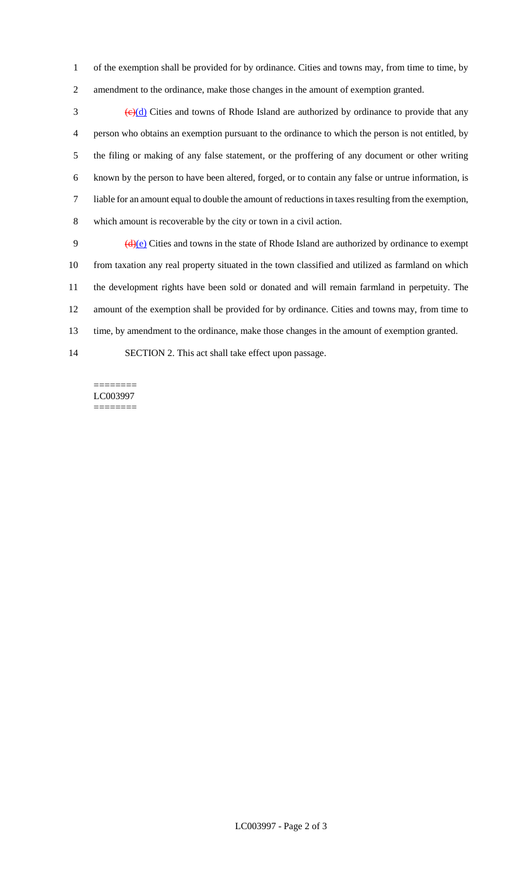of the exemption shall be provided for by ordinance. Cities and towns may, from time to time, by amendment to the ordinance, make those changes in the amount of exemption granted.

 $\frac{1}{2}$  (e)(d) Cities and towns of Rhode Island are authorized by ordinance to provide that any person who obtains an exemption pursuant to the ordinance to which the person is not entitled, by the filing or making of any false statement, or the proffering of any document or other writing known by the person to have been altered, forged, or to contain any false or untrue information, is liable for an amount equal to double the amount of reductions in taxes resulting from the exemption, which amount is recoverable by the city or town in a civil action.

 $(d)(e)$  Cities and towns in the state of Rhode Island are authorized by ordinance to exempt from taxation any real property situated in the town classified and utilized as farmland on which the development rights have been sold or donated and will remain farmland in perpetuity. The amount of the exemption shall be provided for by ordinance. Cities and towns may, from time to time, by amendment to the ordinance, make those changes in the amount of exemption granted.

SECTION 2. This act shall take effect upon passage.

======== LC003997 ========